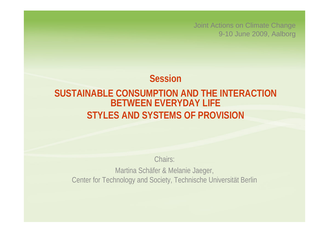Joint Actions on Climate Change 9-10 June 2009, Aalborg

#### **Session**

### **SUSTAINABLE CONSUMPTION AND THE INTERACTION BETWEEN EVERYDAY LIFE STYLES AND SYSTEMS OF PROVISION**

Chairs:

Martina Schäfer & Melanie Jaeger, Center for Technology and Society, Technische Universität Berlin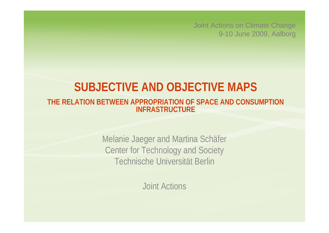Joint Actions on Climate Change 9-10 June 2009, Aalborg

# **SUBJECTIVE AND OBJECTIVE MAPS**

**THE RELATION BETWEEN APPROPRIATION OF SPACE AND CONSUMPTION INFRASTRUCTURE**

> Melanie Jaeger and Martina Schäfer Center for Technology and Society Technische Universität Berlin

> > Joint Actions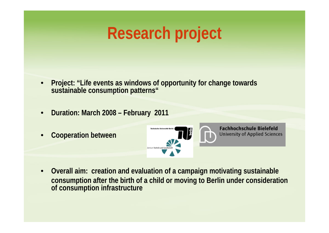# **Research project**

- **Project: "Life events as windows of opportunity for change towards sustainable consumption patterns"**
- **Duration: March 2008 February 2011**
- **Cooperation between**



**Fachhochschule Bielefeld University of Applied Sciences** 

• **Overall aim: creation and evaluation of a campaign motivating sustainable consumption after the birth of a child or moving to Berlin under consideration of consumption infrastructure**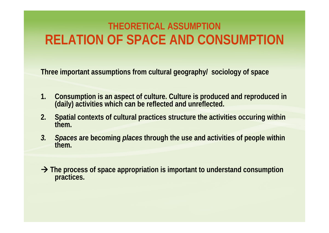## **THEORETICAL ASSUMPTION RELATION OF SPACE AND CONSUMPTION**

**Three important assumptions from cultural geography/ sociology of space**

- **1. Consumption is an aspect of culture. Culture is produced and reproduced in (daily) activities which can be reflected and unreflected.**
- **2. Spatial contexts of cultural practices structure the activities occuring within them.**
- *3. Spaces* **are becoming** *places* **through the use and activities of people within them.**
- **The process of space appropriation is important to understand consumption practices.**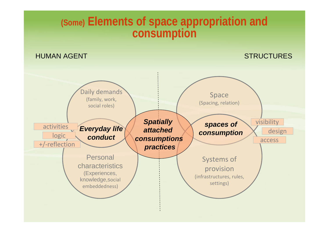### **(Some) Elements of space appropriation and consumption**

HUMAN AGENT

**STRUCTURES** 

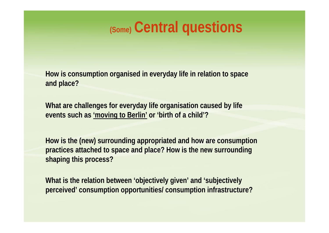## **(Some) Central questions**

**How is consumption organised in everyday life in relation to space and place?**

**What are challenges for everyday life organisation caused by life events such as 'moving to Berlin' or 'birth of a child'?**

**How is the (new) surrounding appropriated and how are consumption practices attached to space and place? How is the new surrounding shaping this process?**

**What is the relation between 'objectively given' and 'subjectively perceived' consumption opportunities/ consumption infrastructure?**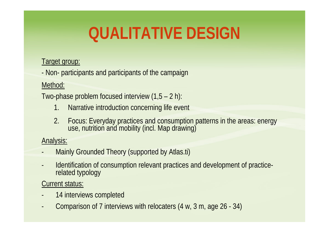# **QUALITATIVE DESIGN**

#### Target group:

- Non- participants and participants of the campaign

Method:

Two-phase problem focused interview (1,5 – 2 h):

- 1. Narrative introduction concerning life event
- 2. Focus: Everyday practices and consumption patterns in the areas: energy use, nutrition and mobility (incl. Map drawing)

Analysis:

- Mainly Grounded Theory (supported by Atlas.ti)
- Identification of consumption relevant practices and development of practicerelated typology

Current status:

- 14 interviews completed
- Comparison of 7 interviews with relocaters (4 w, 3 m, age 26 34)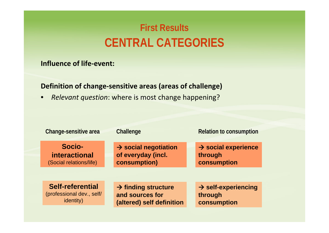## **First Results CENTRAL CATEGORIES**

#### **Influence of life‐event:**

#### **Definition of change‐sensitive areas (areas of challenge)**

• *Relevant question*: where is most change happening?

| Change-sensitive area     | Challenge                        | <b>Relation to consumption</b>  |  |
|---------------------------|----------------------------------|---------------------------------|--|
| Socio-                    | $\rightarrow$ social negotiation | $\rightarrow$ social experience |  |
| <i>interactional</i>      | of everyday (incl.               | through                         |  |
| (Social relations/life)   | consumption)                     | consumption                     |  |
|                           |                                  |                                 |  |
| <b>Self-referential</b>   | $\rightarrow$ finding structure  | $\rightarrow$ self-experiencing |  |
| (professional dev., self/ | and sources for                  | through                         |  |
| <i>identity)</i>          | (altered) self definition        | consumption                     |  |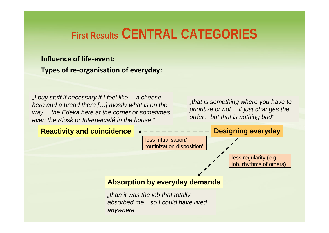## **First Results CENTRAL CATEGORIES**

#### **Influence of life‐event: Types of re‐organisation of everyday:**

*"I buy stuff if necessary if I feel like… a cheese here and a bread there […] mostly what is on the way… the Edeka here at the corner or sometimes even the Kiosk or Internetcafé in the house "*

*"that is something where you have to prioritize or not… it just changes the order…but that is nothing bad"*

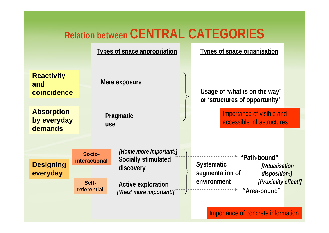| <b>Relation between CENTRAL CATEGORIES</b>  |                         |                                                                   |  |                                                                                                      |  |  |
|---------------------------------------------|-------------------------|-------------------------------------------------------------------|--|------------------------------------------------------------------------------------------------------|--|--|
|                                             |                         | <b>Types of space appropriation</b>                               |  | <b>Types of space organisation</b>                                                                   |  |  |
| <b>Reactivity</b><br>and<br>coincidence     |                         | Mere exposure                                                     |  | Usage of 'what is on the way'<br>or 'structures of opportunity'                                      |  |  |
| <b>Absorption</b><br>by everyday<br>demands |                         | Pragmatic<br><b>use</b>                                           |  | Importance of visible and<br>accessible infrastructures                                              |  |  |
| <b>Designing</b><br>everyday                | Socio-<br>interactional | [Home more important!]<br><b>Socially stimulated</b><br>discovery |  | "Path-bound"<br><b>Systematic</b><br><i><b>Ritualisation</b></i><br>segmentation of<br>disposition!] |  |  |
|                                             | Self-<br>referential    | <b>Active exploration</b><br>['Kiez' more important!]             |  | environment<br>[Proximity effect!]<br>"Area-bound"                                                   |  |  |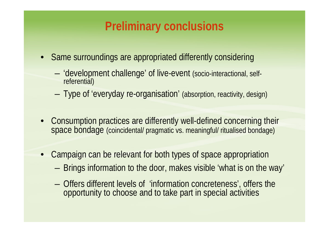## **Preliminary conclusions**

- Same surroundings are appropriated differently considering
	- 'development challenge' of live-event (socio-interactional, self- referential)
	- Type of 'everyday re-organisation' (absorption, reactivity, design)
- Consumption practices are differently well-defined concerning their space bondage (coincidental/ pragmatic vs. meaningful/ ritualised bondage)
- Campaign can be relevant for both types of space appropriation
	- Brings information to the door, makes visible 'what is on the way'
	- Offers different levels of 'information concreteness', offers the opportunity to choose and to take part in special activities